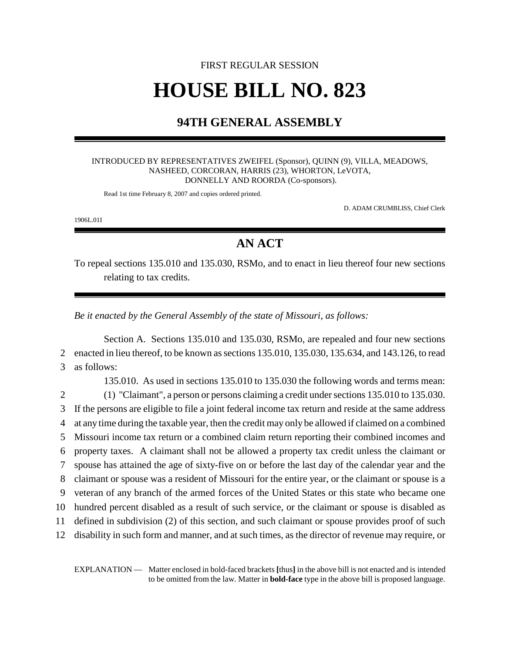# FIRST REGULAR SESSION **HOUSE BILL NO. 823**

# **94TH GENERAL ASSEMBLY**

#### INTRODUCED BY REPRESENTATIVES ZWEIFEL (Sponsor), QUINN (9), VILLA, MEADOWS, NASHEED, CORCORAN, HARRIS (23), WHORTON, LeVOTA, DONNELLY AND ROORDA (Co-sponsors).

Read 1st time February 8, 2007 and copies ordered printed.

D. ADAM CRUMBLISS, Chief Clerk

1906L.01I

## **AN ACT**

To repeal sections 135.010 and 135.030, RSMo, and to enact in lieu thereof four new sections relating to tax credits.

*Be it enacted by the General Assembly of the state of Missouri, as follows:*

Section A. Sections 135.010 and 135.030, RSMo, are repealed and four new sections 2 enacted in lieu thereof, to be known as sections 135.010, 135.030, 135.634, and 143.126, to read 3 as follows:

135.010. As used in sections 135.010 to 135.030 the following words and terms mean:

 (1) "Claimant", a person or persons claiming a credit under sections 135.010 to 135.030. If the persons are eligible to file a joint federal income tax return and reside at the same address at any time during the taxable year, then the credit may only be allowed if claimed on a combined Missouri income tax return or a combined claim return reporting their combined incomes and property taxes. A claimant shall not be allowed a property tax credit unless the claimant or spouse has attained the age of sixty-five on or before the last day of the calendar year and the claimant or spouse was a resident of Missouri for the entire year, or the claimant or spouse is a veteran of any branch of the armed forces of the United States or this state who became one hundred percent disabled as a result of such service, or the claimant or spouse is disabled as defined in subdivision (2) of this section, and such claimant or spouse provides proof of such disability in such form and manner, and at such times, as the director of revenue may require, or

EXPLANATION — Matter enclosed in bold-faced brackets **[**thus**]** in the above bill is not enacted and is intended to be omitted from the law. Matter in **bold-face** type in the above bill is proposed language.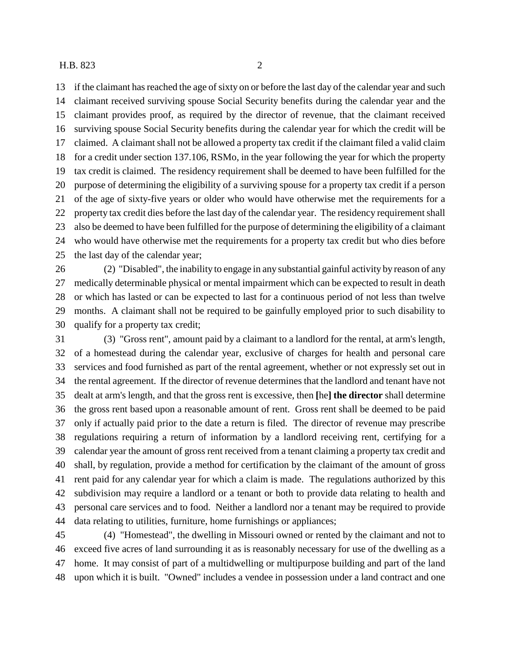if the claimant has reached the age of sixty on or before the last day of the calendar year and such claimant received surviving spouse Social Security benefits during the calendar year and the claimant provides proof, as required by the director of revenue, that the claimant received surviving spouse Social Security benefits during the calendar year for which the credit will be claimed. A claimant shall not be allowed a property tax credit if the claimant filed a valid claim for a credit under section 137.106, RSMo, in the year following the year for which the property tax credit is claimed. The residency requirement shall be deemed to have been fulfilled for the purpose of determining the eligibility of a surviving spouse for a property tax credit if a person of the age of sixty-five years or older who would have otherwise met the requirements for a property tax credit dies before the last day of the calendar year. The residency requirement shall also be deemed to have been fulfilled for the purpose of determining the eligibility of a claimant who would have otherwise met the requirements for a property tax credit but who dies before the last day of the calendar year;

 (2) "Disabled", the inability to engage in any substantial gainful activity by reason of any medically determinable physical or mental impairment which can be expected to result in death or which has lasted or can be expected to last for a continuous period of not less than twelve months. A claimant shall not be required to be gainfully employed prior to such disability to qualify for a property tax credit;

 (3) "Gross rent", amount paid by a claimant to a landlord for the rental, at arm's length, of a homestead during the calendar year, exclusive of charges for health and personal care services and food furnished as part of the rental agreement, whether or not expressly set out in the rental agreement. If the director of revenue determines that the landlord and tenant have not dealt at arm's length, and that the gross rent is excessive, then **[**he**] the director** shall determine the gross rent based upon a reasonable amount of rent. Gross rent shall be deemed to be paid only if actually paid prior to the date a return is filed. The director of revenue may prescribe regulations requiring a return of information by a landlord receiving rent, certifying for a calendar year the amount of gross rent received from a tenant claiming a property tax credit and shall, by regulation, provide a method for certification by the claimant of the amount of gross rent paid for any calendar year for which a claim is made. The regulations authorized by this subdivision may require a landlord or a tenant or both to provide data relating to health and personal care services and to food. Neither a landlord nor a tenant may be required to provide data relating to utilities, furniture, home furnishings or appliances;

 (4) "Homestead", the dwelling in Missouri owned or rented by the claimant and not to exceed five acres of land surrounding it as is reasonably necessary for use of the dwelling as a home. It may consist of part of a multidwelling or multipurpose building and part of the land upon which it is built. "Owned" includes a vendee in possession under a land contract and one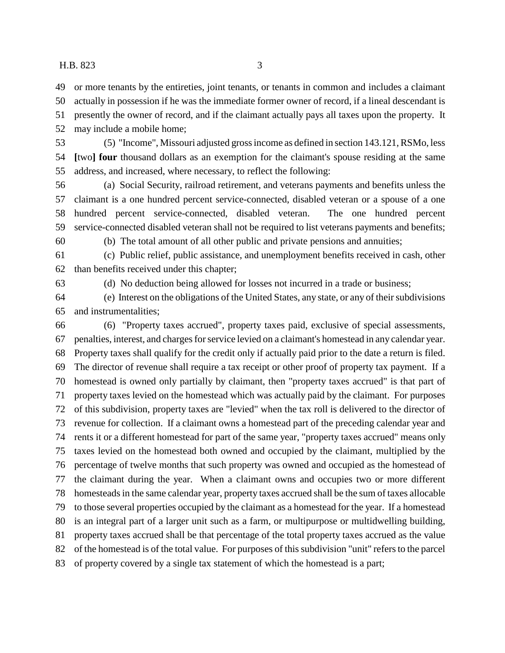or more tenants by the entireties, joint tenants, or tenants in common and includes a claimant

 actually in possession if he was the immediate former owner of record, if a lineal descendant is presently the owner of record, and if the claimant actually pays all taxes upon the property. It may include a mobile home;

 (5) "Income", Missouri adjusted gross income as defined in section 143.121, RSMo, less **[**two**] four** thousand dollars as an exemption for the claimant's spouse residing at the same address, and increased, where necessary, to reflect the following:

 (a) Social Security, railroad retirement, and veterans payments and benefits unless the claimant is a one hundred percent service-connected, disabled veteran or a spouse of a one hundred percent service-connected, disabled veteran. The one hundred percent service-connected disabled veteran shall not be required to list veterans payments and benefits;

(b) The total amount of all other public and private pensions and annuities;

 (c) Public relief, public assistance, and unemployment benefits received in cash, other than benefits received under this chapter;

(d) No deduction being allowed for losses not incurred in a trade or business;

 (e) Interest on the obligations of the United States, any state, or any of their subdivisions and instrumentalities;

 (6) "Property taxes accrued", property taxes paid, exclusive of special assessments, penalties, interest, and charges for service levied on a claimant's homestead in any calendar year. Property taxes shall qualify for the credit only if actually paid prior to the date a return is filed. The director of revenue shall require a tax receipt or other proof of property tax payment. If a homestead is owned only partially by claimant, then "property taxes accrued" is that part of property taxes levied on the homestead which was actually paid by the claimant. For purposes of this subdivision, property taxes are "levied" when the tax roll is delivered to the director of revenue for collection. If a claimant owns a homestead part of the preceding calendar year and rents it or a different homestead for part of the same year, "property taxes accrued" means only taxes levied on the homestead both owned and occupied by the claimant, multiplied by the percentage of twelve months that such property was owned and occupied as the homestead of the claimant during the year. When a claimant owns and occupies two or more different homesteads in the same calendar year, property taxes accrued shall be the sum of taxes allocable to those several properties occupied by the claimant as a homestead for the year. If a homestead is an integral part of a larger unit such as a farm, or multipurpose or multidwelling building, property taxes accrued shall be that percentage of the total property taxes accrued as the value of the homestead is of the total value. For purposes of this subdivision "unit" refers to the parcel of property covered by a single tax statement of which the homestead is a part;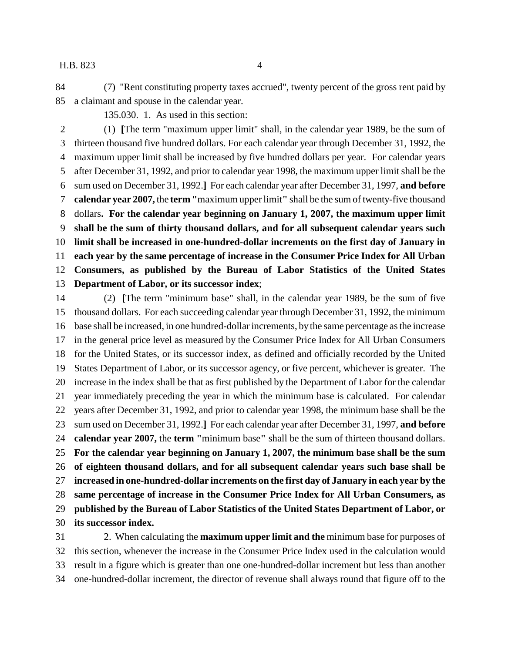(7) "Rent constituting property taxes accrued", twenty percent of the gross rent paid by a claimant and spouse in the calendar year.

135.030. 1. As used in this section:

 (1) **[**The term "maximum upper limit" shall, in the calendar year 1989, be the sum of thirteen thousand five hundred dollars. For each calendar year through December 31, 1992, the maximum upper limit shall be increased by five hundred dollars per year. For calendar years after December 31, 1992, and prior to calendar year 1998, the maximum upper limit shall be the sum used on December 31, 1992.**]** For each calendar year after December 31, 1997, **and before calendar year 2007,** the **term "**maximum upper limit**"** shall be the sum of twenty-five thousand dollars**. For the calendar year beginning on January 1, 2007, the maximum upper limit shall be the sum of thirty thousand dollars, and for all subsequent calendar years such limit shall be increased in one-hundred-dollar increments on the first day of January in each year by the same percentage of increase in the Consumer Price Index for All Urban Consumers, as published by the Bureau of Labor Statistics of the United States Department of Labor, or its successor index**;

 (2) **[**The term "minimum base" shall, in the calendar year 1989, be the sum of five thousand dollars. For each succeeding calendar year through December 31, 1992, the minimum base shall be increased, in one hundred-dollar increments, by the same percentage as the increase in the general price level as measured by the Consumer Price Index for All Urban Consumers for the United States, or its successor index, as defined and officially recorded by the United States Department of Labor, or its successor agency, or five percent, whichever is greater. The increase in the index shall be that as first published by the Department of Labor for the calendar year immediately preceding the year in which the minimum base is calculated. For calendar years after December 31, 1992, and prior to calendar year 1998, the minimum base shall be the sum used on December 31, 1992.**]** For each calendar year after December 31, 1997, **and before calendar year 2007,** the **term "**minimum base**"** shall be the sum of thirteen thousand dollars. **For the calendar year beginning on January 1, 2007, the minimum base shall be the sum of eighteen thousand dollars, and for all subsequent calendar years such base shall be increased in one-hundred-dollar increments on the first day of January in each year by the same percentage of increase in the Consumer Price Index for All Urban Consumers, as published by the Bureau of Labor Statistics of the United States Department of Labor, or its successor index.**

 2. When calculating the **maximum upper limit and the** minimum base for purposes of this section, whenever the increase in the Consumer Price Index used in the calculation would result in a figure which is greater than one one-hundred-dollar increment but less than another one-hundred-dollar increment, the director of revenue shall always round that figure off to the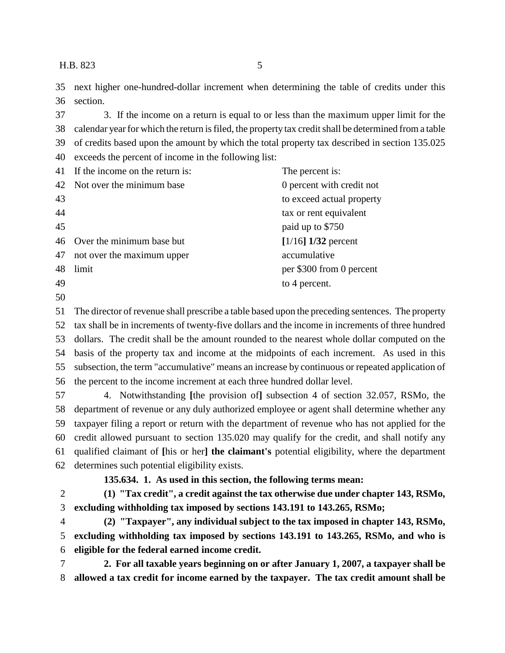next higher one-hundred-dollar increment when determining the table of credits under this section.

 3. If the income on a return is equal to or less than the maximum upper limit for the calendar year for which the return is filed, the property tax credit shall be determined from a table of credits based upon the amount by which the total property tax described in section 135.025 exceeds the percent of income in the following list:

| 41 | If the income on the return is: | The percent is:           |
|----|---------------------------------|---------------------------|
|    | 42 Not over the minimum base    | 0 percent with credit not |
| 43 |                                 | to exceed actual property |
| 44 |                                 | tax or rent equivalent    |
| 45 |                                 | paid up to \$750          |
|    | 46 Over the minimum base but    | $[1/16]$ 1/32 percent     |
| 47 | not over the maximum upper      | accumulative              |
| 48 | limit                           | per \$300 from 0 percent  |
| 49 |                                 | to 4 percent.             |
|    |                                 |                           |

 The director of revenue shall prescribe a table based upon the preceding sentences. The property tax shall be in increments of twenty-five dollars and the income in increments of three hundred dollars. The credit shall be the amount rounded to the nearest whole dollar computed on the basis of the property tax and income at the midpoints of each increment. As used in this subsection, the term "accumulative" means an increase by continuous or repeated application of the percent to the income increment at each three hundred dollar level.

 4. Notwithstanding **[**the provision of**]** subsection 4 of section 32.057, RSMo, the department of revenue or any duly authorized employee or agent shall determine whether any taxpayer filing a report or return with the department of revenue who has not applied for the credit allowed pursuant to section 135.020 may qualify for the credit, and shall notify any qualified claimant of **[**his or her**] the claimant's** potential eligibility, where the department determines such potential eligibility exists.

**135.634. 1. As used in this section, the following terms mean:**

 **(1) "Tax credit", a credit against the tax otherwise due under chapter 143, RSMo, excluding withholding tax imposed by sections 143.191 to 143.265, RSMo;**

 **(2) "Taxpayer", any individual subject to the tax imposed in chapter 143, RSMo, excluding withholding tax imposed by sections 143.191 to 143.265, RSMo, and who is eligible for the federal earned income credit.**

 **2. For all taxable years beginning on or after January 1, 2007, a taxpayer shall be allowed a tax credit for income earned by the taxpayer. The tax credit amount shall be**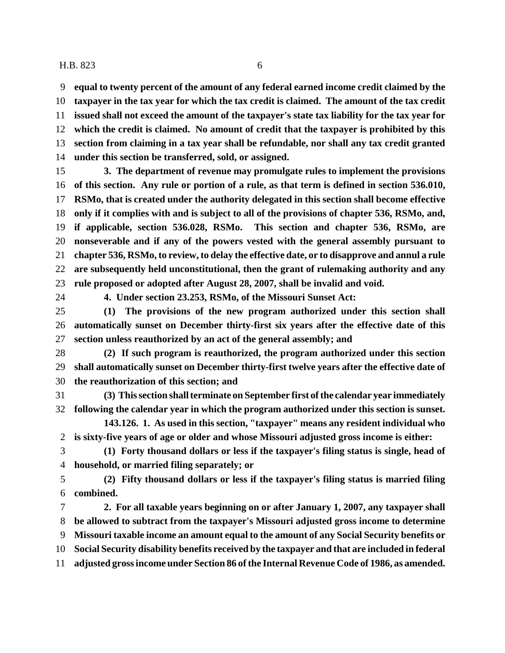**equal to twenty percent of the amount of any federal earned income credit claimed by the taxpayer in the tax year for which the tax credit is claimed. The amount of the tax credit issued shall not exceed the amount of the taxpayer's state tax liability for the tax year for which the credit is claimed. No amount of credit that the taxpayer is prohibited by this section from claiming in a tax year shall be refundable, nor shall any tax credit granted under this section be transferred, sold, or assigned.**

 **3. The department of revenue may promulgate rules to implement the provisions of this section. Any rule or portion of a rule, as that term is defined in section 536.010, RSMo, that is created under the authority delegated in this section shall become effective only if it complies with and is subject to all of the provisions of chapter 536, RSMo, and, if applicable, section 536.028, RSMo. This section and chapter 536, RSMo, are nonseverable and if any of the powers vested with the general assembly pursuant to chapter 536, RSMo, to review, to delay the effective date, or to disapprove and annul a rule are subsequently held unconstitutional, then the grant of rulemaking authority and any rule proposed or adopted after August 28, 2007, shall be invalid and void.**

**4. Under section 23.253, RSMo, of the Missouri Sunset Act:**

 **(1) The provisions of the new program authorized under this section shall automatically sunset on December thirty-first six years after the effective date of this section unless reauthorized by an act of the general assembly; and**

 **(2) If such program is reauthorized, the program authorized under this section shall automatically sunset on December thirty-first twelve years after the effective date of the reauthorization of this section; and**

 **(3) This section shall terminate on September first of the calendar year immediately following the calendar year in which the program authorized under this section is sunset.**

**143.126. 1. As used in this section, "taxpayer" means any resident individual who is sixty-five years of age or older and whose Missouri adjusted gross income is either:**

 **(1) Forty thousand dollars or less if the taxpayer's filing status is single, head of household, or married filing separately; or**

 **(2) Fifty thousand dollars or less if the taxpayer's filing status is married filing combined.**

 **2. For all taxable years beginning on or after January 1, 2007, any taxpayer shall be allowed to subtract from the taxpayer's Missouri adjusted gross income to determine Missouri taxable income an amount equal to the amount of any Social Security benefits or Social Security disability benefits received by the taxpayer and that are included in federal adjusted gross income under Section 86 of the Internal Revenue Code of 1986, as amended.**